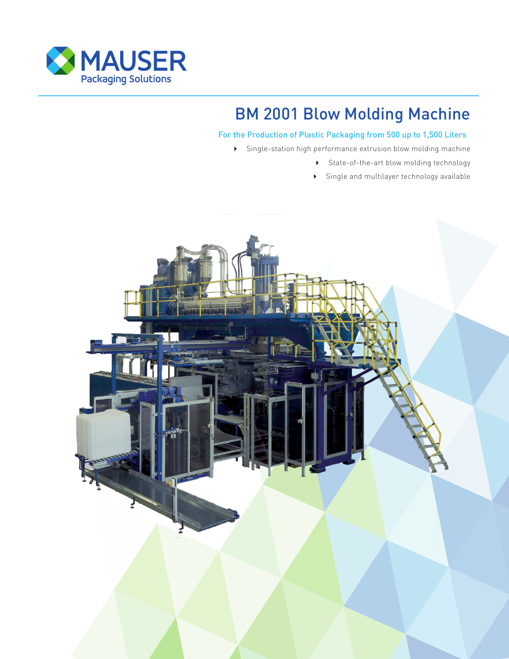

# BM 2001 Blow Molding Machine

## For the Production of Plastic Packaging from 500 up to 1,500 Liters

Single-station high performance extrusion blow molding machine

- State-of-the-art blow molding technology
- Single and multilayer technology available